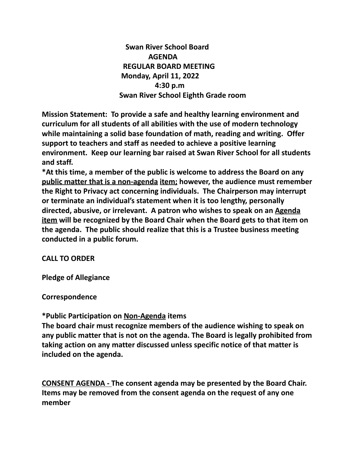**Swan River School Board AGENDA REGULAR BOARD MEETING Monday, April 11, 2022 4:30 p.m Swan River School Eighth Grade room**

**Mission Statement: To provide a safe and healthy learning environment and curriculum for all students of all abilities with the use of modern technology while maintaining a solid base foundation of math, reading and writing. Offer support to teachers and staff as needed to achieve a positive learning environment. Keep our learning bar raised at Swan River School for all students and staff.**

**\*At this time, a member of the public is welcome to address the Board on any public matter that is a non-agenda item; however, the audience must remember the Right to Privacy act concerning individuals. The Chairperson may interrupt or terminate an individual's statement when it is too lengthy, personally directed, abusive, or irrelevant. A patron who wishes to speak on an Agenda item will be recognized by the Board Chair when the Board gets to that item on the agenda. The public should realize that this is a Trustee business meeting conducted in a public forum.**

## **CALL TO ORDER**

**Pledge of Allegiance**

**Correspondence**

## **\*Public Participation on Non-Agenda items**

**The board chair must recognize members of the audience wishing to speak on any public matter that is not on the agenda. The Board is legally prohibited from taking action on any matter discussed unless specific notice of that matter is included on the agenda.**

**CONSENT AGENDA - The consent agenda may be presented by the Board Chair. Items may be removed from the consent agenda on the request of any one member**